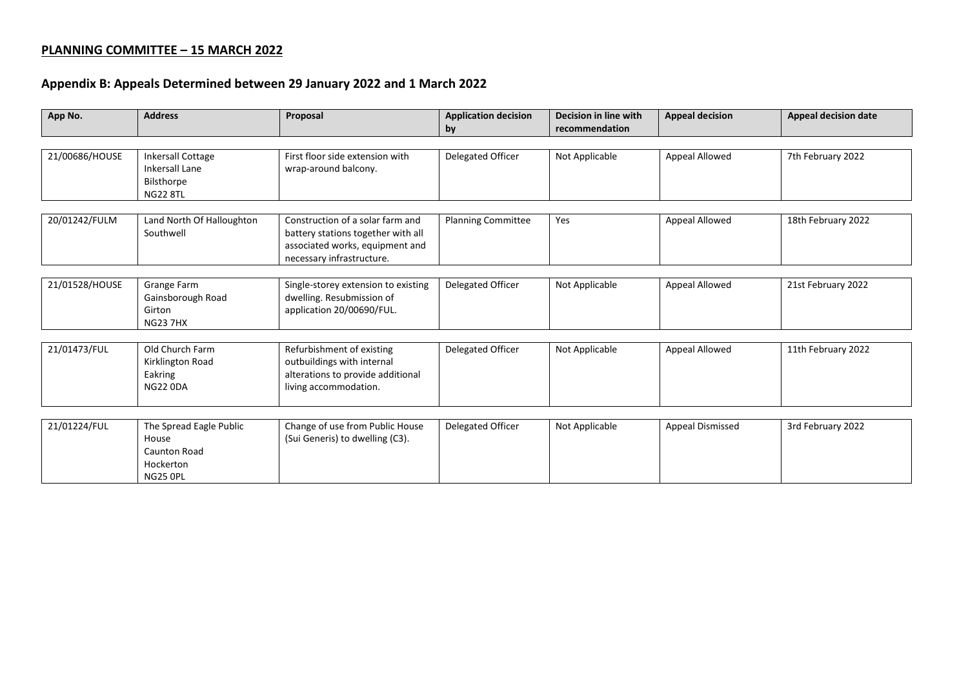## **PLANNING COMMITTEE – 15 MARCH 2022**

## **Appendix B: Appeals Determined between 29 January 2022 and 1 March 2022**

| App No.        | <b>Address</b>                                                                     | Proposal                                                                                                                               | <b>Application decision</b><br>by | Decision in line with<br>recommendation | <b>Appeal decision</b>  | <b>Appeal decision date</b> |  |
|----------------|------------------------------------------------------------------------------------|----------------------------------------------------------------------------------------------------------------------------------------|-----------------------------------|-----------------------------------------|-------------------------|-----------------------------|--|
|                |                                                                                    |                                                                                                                                        |                                   |                                         |                         |                             |  |
| 21/00686/HOUSE | <b>Inkersall Cottage</b><br><b>Inkersall Lane</b><br>Bilsthorpe<br><b>NG22 8TL</b> | First floor side extension with<br>wrap-around balcony.                                                                                | Delegated Officer                 | Not Applicable                          | Appeal Allowed          | 7th February 2022           |  |
| 20/01242/FULM  | Land North Of Halloughton<br>Southwell                                             | Construction of a solar farm and<br>battery stations together with all<br>associated works, equipment and<br>necessary infrastructure. | <b>Planning Committee</b>         | Yes                                     | Appeal Allowed          | 18th February 2022          |  |
| 21/01528/HOUSE | Grange Farm<br>Gainsborough Road<br>Girton<br><b>NG23 7HX</b>                      | Single-storey extension to existing<br>dwelling. Resubmission of<br>application 20/00690/FUL.                                          | Delegated Officer                 | Not Applicable                          | Appeal Allowed          | 21st February 2022          |  |
| 21/01473/FUL   | Old Church Farm<br>Kirklington Road<br>Eakring<br><b>NG22 0DA</b>                  | Refurbishment of existing<br>outbuildings with internal<br>alterations to provide additional<br>living accommodation.                  | Delegated Officer                 | Not Applicable                          | Appeal Allowed          | 11th February 2022          |  |
| 21/01224/FUL   | The Spread Eagle Public<br>House<br>Caunton Road<br>Hockerton<br><b>NG25 OPL</b>   | Change of use from Public House<br>(Sui Generis) to dwelling (C3).                                                                     | Delegated Officer                 | Not Applicable                          | <b>Appeal Dismissed</b> | 3rd February 2022           |  |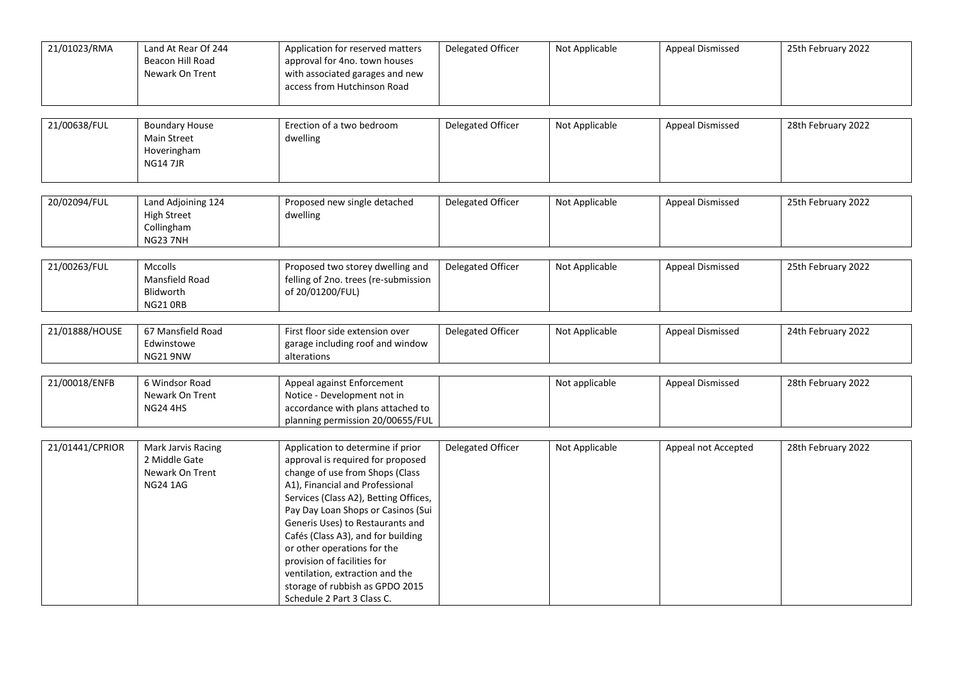| 21/01023/RMA    | Land At Rear Of 244<br>Beacon Hill Road<br>Newark On Trent                | Application for reserved matters<br>approval for 4no. town houses<br>with associated garages and new<br>access from Hutchinson Road                                                                                                                                                                                                                                                                                                                                     | Delegated Officer | Not Applicable | Appeal Dismissed        | 25th February 2022 |
|-----------------|---------------------------------------------------------------------------|-------------------------------------------------------------------------------------------------------------------------------------------------------------------------------------------------------------------------------------------------------------------------------------------------------------------------------------------------------------------------------------------------------------------------------------------------------------------------|-------------------|----------------|-------------------------|--------------------|
| 21/00638/FUL    | <b>Boundary House</b><br>Main Street<br>Hoveringham<br><b>NG147JR</b>     | Erection of a two bedroom<br>dwelling                                                                                                                                                                                                                                                                                                                                                                                                                                   | Delegated Officer | Not Applicable | <b>Appeal Dismissed</b> | 28th February 2022 |
| 20/02094/FUL    | Land Adjoining 124<br><b>High Street</b><br>Collingham<br><b>NG23 7NH</b> | Proposed new single detached<br>dwelling                                                                                                                                                                                                                                                                                                                                                                                                                                | Delegated Officer | Not Applicable | <b>Appeal Dismissed</b> | 25th February 2022 |
| 21/00263/FUL    | <b>Mccolls</b><br>Mansfield Road<br>Blidworth<br><b>NG21 ORB</b>          | Proposed two storey dwelling and<br>felling of 2no. trees (re-submission<br>of 20/01200/FUL)                                                                                                                                                                                                                                                                                                                                                                            | Delegated Officer | Not Applicable | Appeal Dismissed        | 25th February 2022 |
| 21/01888/HOUSE  | 67 Mansfield Road<br>Edwinstowe<br><b>NG21 9NW</b>                        | First floor side extension over<br>garage including roof and window<br>alterations                                                                                                                                                                                                                                                                                                                                                                                      | Delegated Officer | Not Applicable | Appeal Dismissed        | 24th February 2022 |
| 21/00018/ENFB   | 6 Windsor Road<br>Newark On Trent<br><b>NG24 4HS</b>                      | Appeal against Enforcement<br>Notice - Development not in<br>accordance with plans attached to<br>planning permission 20/00655/FUL                                                                                                                                                                                                                                                                                                                                      |                   | Not applicable | <b>Appeal Dismissed</b> | 28th February 2022 |
| 21/01441/CPRIOR | Mark Jarvis Racing<br>2 Middle Gate<br>Newark On Trent<br><b>NG24 1AG</b> | Application to determine if prior<br>approval is required for proposed<br>change of use from Shops (Class<br>A1), Financial and Professional<br>Services (Class A2), Betting Offices,<br>Pay Day Loan Shops or Casinos (Sui<br>Generis Uses) to Restaurants and<br>Cafés (Class A3), and for building<br>or other operations for the<br>provision of facilities for<br>ventilation, extraction and the<br>storage of rubbish as GPDO 2015<br>Schedule 2 Part 3 Class C. | Delegated Officer | Not Applicable | Appeal not Accepted     | 28th February 2022 |